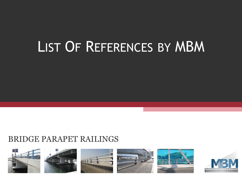# LIST OF REFERENCES BY MBM

# BRIDGE PARAPET RAILINGS



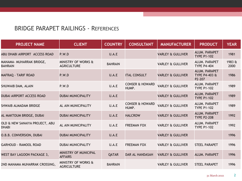| <b>PROJECT NAME</b>                            | <b>CLIENT</b>                             | <b>COUNTRY</b> | <b>CONSULTANT</b>                   | <b>MANUFACTURER</b>          | <b>PRODUCT</b>                                      | <b>YEAR</b>    |
|------------------------------------------------|-------------------------------------------|----------------|-------------------------------------|------------------------------|-----------------------------------------------------|----------------|
| ABU DHABI AIRPORT ACCESS ROAD                  | P.W.D                                     | U.A.E          |                                     | <b>VARLEY &amp; GULLIVER</b> | ALUM. PARAPET<br><b>TYPE P1-102</b>                 | 1981           |
| MANAMA- MUHARRAK BRIDGE,<br><b>BAHRAIN</b>     | MINISTRY OF WORKS &<br><b>AGRICULTURE</b> | <b>BAHRAIN</b> |                                     | <b>VARLEY &amp; GULLIVER</b> | ALUM. PARAPET<br><b>TYPE P4-404</b>                 | 1983 &<br>2000 |
| MAFRAQ - TARIF ROAD                            | P.W.D                                     | U.A.E          | <b>ITAL CONSULT</b>                 | <b>VARLEY &amp; GULLIVER</b> | ALUM. PARAPET<br><b>TYPE P4-403 &amp;</b><br>P2-207 | 1986           |
| SHUWAIB DAM, ALAIN                             | P.W.D                                     | U.A.E          | <b>CONSER &amp; HOWARD</b><br>HUMP. | <b>VARLEY &amp; GULLIVER</b> | ALUM. PARAPET<br><b>TYPE P1-102</b>                 | 1989           |
| <b>DUBAI AIRPORT ACCESS ROAD</b>               | <b>DUBAI MUNICIPALITY</b>                 | U.A.E          |                                     | <b>VARLEY &amp; GULLIVER</b> | ALUM. PARAPET<br><b>TYPE P1-102</b>                 | 1989           |
| SHWAIB ALMADAM BRIDGE                          | AL AIN MUNICIPALITY                       | U.A.E          | <b>CONSER &amp; HOWARD</b><br>HUMP. | <b>VARLEY &amp; GULLIVER</b> | ALUM. PARAPET<br><b>TYPE P1-102</b>                 | 1989           |
| AL MAKTOUM BRIDGE, DUBAI                       | <b>DUBAI MUNICIPALITY</b>                 | U.A.E          | <b>HALCROW</b>                      | <b>VARLEY &amp; GULLIVER</b> | ALUM. PARAPET<br><b>TYPE P2-208</b>                 | 1992           |
| OLD & NEW SANAIYA PROJECT, ABU<br><b>DHABI</b> | AL AIN MUNICIPALITY                       | U.A.E          | <b>FREEMAN FOX</b>                  | <b>VARLEY &amp; GULLIVER</b> | ALUM. PARAPET<br><b>TYPE P1-102</b>                 | 1992           |
| O.B.B. CONVERSION, DUBAI                       | <b>DUBAI MUNICIPALITY</b>                 | U.A.E          |                                     | <b>VARLEY &amp; GULLIVER</b> |                                                     | 1996           |
| <b>GARHOUD - RAMOOL ROAD</b>                   | <b>DUBAI MUNICIPALITY</b>                 | U.A.E          | <b>FREEMAN FOX</b>                  | <b>VARLEY &amp; GULLIVER</b> | <b>STEEL PARAPET</b>                                | 1996           |
| WEST BAY LAGOON PACKAGE 3,                     | MINISTRY OF MUNICIPAL<br><b>AFFAIRS</b>   | <b>QATAR</b>   | <b>DAR AL HANDASAH</b>              | <b>VARLEY &amp; GULLIVER</b> | ALUM. PARAPET                                       | 1996           |
| 2ND MANAMA MUHARRAK CROSSING,                  | MINISTRY OF WORKS &<br><b>AGRICULTURE</b> | <b>BAHRAIN</b> |                                     | <b>VARLEY &amp; GULLIVER</b> | <b>STEEL PARAPET</b>                                | 1996           |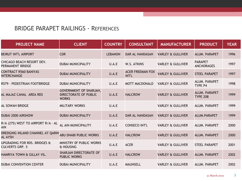| <b>PROJECT NAME</b>                                    | <b>CLIENT</b>                                                          | <b>COUNTRY</b> | <b>CONSULTANT</b>                | <b>MANUFACTURER</b>          | <b>PRODUCT</b>                      | <b>YEAR</b> |
|--------------------------------------------------------|------------------------------------------------------------------------|----------------|----------------------------------|------------------------------|-------------------------------------|-------------|
| <b>BEIRUT INT'L AIRPORT</b>                            | <b>CDR</b>                                                             | <b>LEBANON</b> | <b>DAR AL HANDASAH</b>           | <b>VARLEY &amp; GULLIVER</b> | ALUM. PARAPET                       | 1996        |
| CHICAGO BEACH RESORT DEV.<br>PERMANENT BRIDGE          | <b>DUBAI MUNICIPALITY</b>                                              | U.A.E          | W.S. ATKINS                      | <b>VARLEY &amp; GULLIVER</b> | <b>PARAPET</b><br><b>ANCHORAGES</b> | 1997        |
| <b>CONTRACT R560 BANIYAS</b><br><b>INTERCHANGE</b>     | <b>DUBAI MUNICIPALITY</b>                                              | U.A.E          | <b>ACER FREEMAN FOX</b><br>INT'L | <b>VARLEY &amp; GULLIVER</b> | <b>STEEL PARAPET</b>                | 1997        |
| R579 - PEDESTRIAN FOOTBRIDGE                           | <b>DUBAI MUNICIPALITY</b>                                              | U.A.E          | <b>MOTT MACDONALD</b>            | <b>VARLEY &amp; GULLIVER</b> | ALUM. PARAPET<br><b>TYPE P4</b>     | 1998        |
| AL MAJAZ CANAL AREA RDS                                | <b>GOVERNMENT OF SHARJAH,</b><br>DIRECTORATE OF PUBLIC<br><b>WORKS</b> | U.A.E          | <b>HALCROW</b>                   | <b>VARLEY &amp; GULLIVER</b> | ALUM. PARAPET<br><b>TYPE 208</b>    | 1999        |
| <b>AL SOWAH BRIDGE</b>                                 | <b>MILITARY WORKS</b>                                                  | U.A.E          |                                  | <b>VARLEY &amp; GULLIVER</b> | ALUM. PARAPET                       | 1999        |
| <b>DUBAI 2000 AIRSHOW</b>                              | <b>DUBAI MUNICIPALITY</b>                                              | U.A.E          | <b>DAR AL HANDASAH</b>           | <b>VARLEY &amp; GULLIVER</b> | ALUM.PARAPET                        | 1999        |
| R/A (275) WEST TO AIRPORT R/A - AL<br>AIN              | AL AIN MUNICIPALITY                                                    | U.A.E          | <b>CONSECO INT'L</b>             | <b>VARLEY &amp; GULLIVER</b> | ALUM. PARAPET                       | 2000        |
| DREDGING INLAND CHANNEL AT QARIN<br><b>AL AYSH</b>     | <b>ABU DHABI PUBLIC WORKS</b>                                          | U.A.E          | <b>HALCROW</b>                   | <b>VARLEY &amp; GULLIVER</b> | ALUM. PARAPET                       | 2000        |
| UPGRADING FOR RDS. BRIDGES &<br><b>CULVERTS GRP. 5</b> | MINISTRY OF PUBLIC WORKS<br>& HOUSING                                  | U.A.E          | <b>ACER</b>                      | <b>VARLEY &amp; GULLIVER</b> | <b>STEEL PARAPET</b>                | 2001        |
| HAMRIYA TOWN & GILLAY VIL.                             | SHARJAH DIRECTORATE OF<br><b>PUBLIC WORKS</b>                          | U.A.E          | <b>HALCROW</b>                   | <b>VARLEY &amp; GULLIVER</b> | ALUM. PARAPET                       | 2002        |
| <b>DUBAI CONVENTION CENTER</b>                         | <b>DUBAI MUNICIPALITY</b>                                              | U.A.E          | <b>MAUNSELL</b>                  | <b>VARLEY &amp; GULLIVER</b> | ALUM. PARAPET                       | 2002        |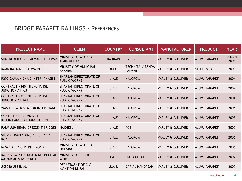| <b>PROJECT NAME</b>                                            | <b>CLIENT</b>                                 | <b>COUNTRY</b> | <b>CONSULTANT</b>                  | <b>MANUFACTURER</b>          | <b>PRODUCT</b>       | <b>YEAR</b>    |
|----------------------------------------------------------------|-----------------------------------------------|----------------|------------------------------------|------------------------------|----------------------|----------------|
| SHK. KHALIFA BIN SALMAN CAUSEWAY                               | MINISTRY OF WORKS &<br><b>AGRICULTURE</b>     | <b>BAHRAIN</b> | <b>HYDER</b>                       | <b>VARLEY &amp; GULLIVER</b> | ALUM. PARAPET        | 2003 &<br>2006 |
| IMMIGRATION & SALWA INTER.                                     | MINISTRY OF MUNICIPAL<br><b>AFFAIRS</b>       | QATAR          | TECHNITAL/ RENDAL<br><b>PALMER</b> | <b>VARLEY &amp; GULLIVER</b> | <b>STEEL PARAPET</b> | 2003           |
| R292 SAJAA / DHAID INTER. PHASE I                              | SHARJAH DIRECTORATE OF<br>PUBLIC WORKS        | U.A.E          | <b>HALCROW</b>                     | <b>VARLEY &amp; GULLIVER</b> | ALUM. PARAPET        | 2004           |
| <b>CONTRACT R340 INTERCHANGE</b><br><b>JUNCTION AT IC3</b>     | SHARJAH DIRECTORATE OF<br><b>PUBLIC WORKS</b> | U.A.E          | <b>HALCROW</b>                     | <b>VARLEY &amp; GULLIVER</b> | ALUM. PARAPET        | 2004           |
| <b>CONTRACT R312 INTERCHANGE</b><br><b>JUNCTION AT 14H</b>     | SHARJAH DIRECTORATE OF<br><b>PUBLIC WORKS</b> | U.A.E          | <b>HALCROW</b>                     | <b>VARLEY &amp; GULLIVER</b> | ALUM. PARAPET        | 2004           |
| <b>WASIT POWER STATION INTERCHANGE</b>                         | SHARJAH DIRECTORATE OF<br><b>PUBLIC WORKS</b> | U.A.E          | <b>HALCROW</b>                     | <b>VARLEY &amp; GULLIVER</b> | ALUM. PARAPET        | 2005           |
| CONT. R341 - DUMB BELL<br><b>INTERCHANGE AT JUNCTION 65</b>    | SHARJAH DIRECTORATE OF<br><b>PUBLIC WORKS</b> | U.A.E          | <b>HALCROW</b>                     | <b>VARLEY &amp; GULLIVER</b> | ALUM. PARAPET        | 2005           |
| PALM JUMEIRAH, CRESCENT BRIDGES                                | <b>NAKHEEL</b>                                | U.A.E          | <b>ACE</b>                         | VARLEY & GULLIVER            | ALUM. PARAPET        | 2005           |
| SHJ-195 R471A KING ABDUL AZIZ<br><b>ROAD</b>                   | SHARJAH DIRECTORATE OF<br><b>PUBLIC WORKS</b> | U.A.E          | <b>HALCROW</b>                     | <b>VARLEY &amp; GULLIVER</b> | ALUM. PARAPET        | 2006           |
| R-262 DIBBA CHANNEL ROAD                                       | MINISTRY OF WORKS &<br><b>HOUSING</b>         | U.A.E          | <b>HALCROW</b>                     | <b>VARLEY &amp; GULLIVER</b> | ALUM. PARAPET        | 2006           |
| IMPROVEMENT & DUALIZATION OF AL<br><b>MADAM-AL SHWEIB ROAD</b> | MINISTRY OF PUBLIC<br><b>WORKS</b>            | U.A.E.         | <b>ITAL CONSULT</b>                | <b>VARLEY &amp; GULLIVER</b> | ALUM. PARAPET        | 2007           |
| JXB050-JEBEL ALI                                               | DEPARTMENT OF CIVIL<br><b>AVIATION-DUBAI</b>  | U.A.E.         | DAR AL HANDASAH                    | <b>VARLEY &amp; GULLIVER</b> | ALUM. PARAPET        | 2007           |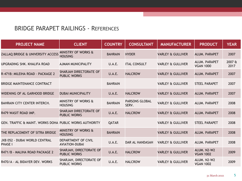| <b>PROJECT NAME</b>                                     | <b>CLIENT</b>                                    | <b>COUNTRY</b> | <b>CONSULTANT</b>              | <b>MANUFACTURER</b>          | <b>PRODUCT</b>                    | <b>YEAR</b>    |
|---------------------------------------------------------|--------------------------------------------------|----------------|--------------------------------|------------------------------|-----------------------------------|----------------|
| ZALLAQ BRIDGE & UNIVERSITY ACCESS                       | <b>MINISTRY OF WORKS &amp;</b><br><b>HOUSING</b> | <b>BAHRAIN</b> | <b>HYDER</b>                   | <b>VARLEY &amp; GULLIVER</b> | ALUM. PARAPET                     | 2007           |
| UPGRADING SHK. KHALIFA ROAD                             | <b>AJMAN MUNICIPALITY</b>                        | U.A.E.         | <b>ITAL CONSULT</b>            | <b>VARLEY &amp; GULLIVER</b> | ALUM. PARAPET<br><b>VGAN 1000</b> | 2007 &<br>2017 |
| R-471B: MILEIHA ROAD - PACKAGE 2                        | SHARJAH DIRECTORATE OF<br><b>PUBLIC WORKS</b>    | U.A.E.         | <b>HALCROW</b>                 | <b>VARLEY &amp; GULLIVER</b> | ALUM. PARAPET                     | 2007           |
| BRIDGE MAINTENANCE CONTRACT                             |                                                  | <b>BAHRAIN</b> |                                | <b>VARLEY &amp; GULLIVER</b> | <b>STEEL PARAPET</b>              | 2007           |
| WIDENING OF AL GARHOOD BRIDGE                           | <b>DUBAI MUNICIPALITY</b>                        | U.A.E.         | <b>HALCROW</b>                 | <b>VARLEY &amp; GULLIVER</b> | ALUM. PARAPET                     | 2007           |
| BAHRAIN CITY CENTER INTERCH.                            | MINISTRY OF WORKS &<br><b>HOUSING</b>            | <b>BAHRAIN</b> | <b>PARSONS GLOBAL</b><br>SERV. | <b>VARLEY &amp; GULLIVER</b> | ALUM. PARAPET                     | 2008           |
| R479 WASIT ROAD IMP.                                    | SHARJAH DIRECTORATE OF<br><b>PUBLIC WORKS</b>    | U.A.E.         | <b>HALCROW</b>                 | <b>VARLEY &amp; GULLIVER</b> | ALUM. PARAPET                     | 2008           |
| GEN. TRAFFIC & MAINT. WORKS DOHA PUBLIC WORKS AUTHORITY |                                                  | QATAR          |                                | <b>VARLEY &amp; GULLIVER</b> | <b>STEEL PARAPET</b>              | 2008           |
| THE REPLACEMENT OF SITRA BRIDGE                         | MINISTRY OF WORKS &<br><b>HOUSING</b>            | <b>BAHRAIN</b> |                                | <b>VARLEY &amp; GULLIVER</b> | ALUM. PARAPET                     | 2008           |
| JXB 052 - DUBAI WORLD CENTRAL<br><b>PHASE I</b>         | DEPARTMENT OF CIVIL<br><b>AVIATION-DUBAI</b>     | U.A.E.         | <b>DAR AL HANDASAH</b>         | <b>VARLEY &amp; GULLIVER</b> | ALUM. PARAPET                     | 2008           |
| R471/B - MALIHA ROAD PACKAGE 2                          | SHARJAH, DIRECTORATE OF<br><b>PUBLIC WORKS</b>   | <b>U.A.E.</b>  | <b>HALCROW</b>                 | <b>VARLEY &amp; GULLIVER</b> | ALUM. N2-W2<br><b>VGAN 1002</b>   | 2009           |
| R470/A - AL BIDAYER DEV. WORKS                          | SHARJAH, DIRECTORATE OF<br><b>PUBLIC WORKS</b>   | U.A.E.         | <b>HALCROW</b>                 | <b>VARLEY &amp; GULLIVER</b> | ALUM. N2-W2<br><b>VGAN 1002</b>   | 2009           |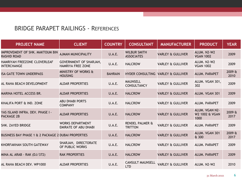| <b>PROJECT NAME</b>                                          | <b>CLIENT</b>                                             | <b>COUNTRY</b> | <b>CONSULTANT</b>                            | <b>MANUFACTURER</b>          | <b>PRODUCT</b>                                      | <b>YEAR</b>    |
|--------------------------------------------------------------|-----------------------------------------------------------|----------------|----------------------------------------------|------------------------------|-----------------------------------------------------|----------------|
| <b>IMPROVEMENT OF SHK. MAKTOUM BIN</b><br><b>RASHID ROAD</b> | <b>AJMAN MUNICIPALITY</b>                                 | U.A.E.         | <b>WILBUR SMITH</b><br><b>ASSOCIATES</b>     | <b>VARLEY &amp; GULLIVER</b> | ALUM. N2-W2<br><b>VGAN 1002</b>                     | 2009           |
| HAMRIYAH FREEZONE CLOVERLEAF<br><b>INTERCHANGE</b>           | <b>GOVERNMENT OF SHARJAH,</b><br><b>HAMRIYA FREE ZONE</b> | U.A.E.         | <b>HALCROW</b>                               | <b>VARLEY &amp; GULLIVER</b> | ALUM. N2-W2<br><b>VGAN 1002</b>                     | 2009           |
| <b>ISA GATE TOWN UNDERPASS</b>                               | MINISTRY OF WORKS &<br><b>HOUSING</b>                     | <b>BAHRAIN</b> | HYDER CONSULTING VARLEY & GULLIVER           |                              | ALUM. PARAPET                                       | 2009 &<br>2010 |
| AL RAHA BEACH DEVELOPMENT                                    | <b>ALDAR PROPERTIES</b>                                   | U.A.E.         | <b>MAUNSELL</b><br><b>CONSULTANCY</b>        | <b>VARLEY &amp; GULLIVER</b> | ALUM. VGAN 301,<br>302                              | 2009           |
| MARINA HOTEL ACCESS BR.                                      | <b>ALDAR PROPERTIES</b>                                   | U.A.E.         | <b>HALCROW</b>                               | <b>VARLEY &amp; GULLIVER</b> | ALUM. VGAN 301                                      | 2009           |
| KHALIFA PORT & IND. ZONE                                     | <b>ABU DHABI PORTS</b><br><b>COMPANY</b>                  | U.A.E.         | <b>HALCROW</b>                               | <b>VARLEY &amp; GULLIVER</b> | ALUM. PARAPET                                       | 2009           |
| YAS ISLAND INFRA. DEV. PHASE I -<br><b>PACKAGE 2B</b>        | <b>ALDAR PROPERTIES</b>                                   | U.A.E.         | <b>HALCROW</b>                               | <b>VARLEY &amp; GULLIVER</b> | ALUM. VGAN N2-<br><b>W2 1002 &amp; VGAN</b><br>1000 | 2009 &<br>2017 |
| SHK. ZAYED BRIDGE                                            | <b>WORKS DEPARTMENT</b><br><b>EMIRATE OF ABU DHABI</b>    | U.A.E.         | <b>RENDEL PALMER &amp;</b><br><b>TRITTON</b> | <b>VARLEY &amp; GULLIVER</b> | ALUM. PARAPET                                       | 2009           |
| BUSINESS BAY PHASE 1 & 2 PACKAGE 2 DUBAI PROPERTIES          |                                                           | U.A.E.         | <b>HALCROW</b>                               | <b>VARLEY &amp; GULLIVER</b> | ALUM. VGAN 301<br>& 300                             | 2009 &<br>2017 |
| KHORFAKHAN SOUTH GATEWAY                                     | SHARJAH, DIRECTORATE<br>OF PUBLIC WORKS                   | U.A.E.         | <b>HALCROW</b>                               | <b>VARLEY &amp; GULLIVER</b> | ALUM. PARAPET                                       | 2009           |
| MINA AL ARAB - RAK (DJ/372)                                  | <b>RAK PROPERTIES</b>                                     | U.A.E.         | <b>HALCROW</b>                               | <b>VARLEY &amp; GULLIVER</b> | ALUM. PARAPET                                       | 2009           |
| AL RAHA BEACH DEV. WP1000                                    | <b>ALDAR PROPERTIES</b>                                   | U.A.E.         | <b>CANSULT MAUNSELL</b><br><b>LTD</b>        | <b>VARLEY &amp; GULLIVER</b> | ALUM. N2-W2                                         | 2010           |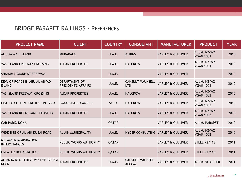| <b>PROJECT NAME</b>                                    | <b>CLIENT</b>                               | <b>COUNTRY</b> | <b>CONSULTANT</b>                       | <b>MANUFACTURER</b>          | <b>PRODUCT</b>                  | <b>YEAR</b> |
|--------------------------------------------------------|---------------------------------------------|----------------|-----------------------------------------|------------------------------|---------------------------------|-------------|
| AL SOWWAH ISLAND                                       | <b>MUBADALA</b>                             | <b>U.A.E.</b>  | <b>ATKINS</b>                           | <b>VARLEY &amp; GULLIVER</b> | ALUM. N2-W2<br><b>VGAN 1001</b> | 2010        |
| YAS ISLAND FREEWAY CROSSING                            | <b>ALDAR PROPERTIES</b>                     | U.A.E.         | <b>HALCROW</b>                          | <b>VARLEY &amp; GULLIVER</b> | ALUM. N2-W2<br><b>VGAN 1001</b> | 2010        |
| SHAHAMA SAADIYAT FREEWAY                               |                                             | <b>U.A.E.</b>  |                                         | <b>VARLEY &amp; GULLIVER</b> |                                 | 2010        |
| DEV. OF ROADS IN ABU AL ABYAD<br><b>ISLAND</b>         | <b>DEPARTMENT OF</b><br>PRESIDENT'S AFFAIRS | U.A.E.         | <b>CANSULT MAUNSELL</b><br><b>LTD</b>   | <b>VARLEY &amp; GULLIVER</b> | ALUM. N2-W2<br><b>VGAN 1001</b> | 2010        |
| YAS ISLAND FREEWAY CROSSING                            | <b>ALDAR PROPERTIES</b>                     | U.A.E.         | <b>HALCROW</b>                          | <b>VARLEY &amp; GULLIVER</b> | ALUM. N2-W2<br><b>VGAN 1002</b> | 2010        |
| EIGHT GATE DEV. PROJECT IN SYRIA                       | <b>EMAAR-IGO DAMASCUS</b>                   | <b>SYRIA</b>   | <b>HALCROW</b>                          | <b>VARLEY &amp; GULLIVER</b> | ALUM. N2-W2<br><b>VGAN 1002</b> | 2010        |
| YAS ISLAND RETAIL MALL PHASE 1A                        | <b>ALDAR PROPERTIES</b>                     | U.A.E.         | <b>HALCROW</b>                          | <b>VARLEY &amp; GULLIVER</b> | ALUM. N2-W2<br><b>VGAN 1002</b> | 2010        |
| CAR PARK, DOHA                                         |                                             | <b>QATAR</b>   |                                         | <b>VARLEY &amp; GULLIVER</b> | ALUM. PARAPET                   | 2010        |
| WIDENING OF AL AIN DUBAI ROAD                          | AL AIN MUNICIPALITY                         | U.A.E.         | HYDER CONSULTING VARLEY & GULLIVER      |                              | ALUM. N2-W2<br><b>VGAN 1002</b> | 2010        |
| <b>MIDMAC &amp; IMMIGRATION</b><br><b>INTERCHANGES</b> | PUBLIC WORKS AUTHORITY                      | <b>QATAR</b>   |                                         | <b>VARLEY &amp; GULLIVER</b> | <b>STEEL P2/113</b>             | 2011        |
| <b>GREATER DOHA PROJECT</b>                            | PUBLIC WORKS AUTHORITY                      | <b>QATAR</b>   |                                         | <b>VARLEY &amp; GULLIVER</b> | <b>STEEL P2/113</b>             | 2011        |
| AL RAHA BEACH DEV. WP 1351 BRIDGE<br><b>DECK</b>       | <b>ALDAR PROPERTIES</b>                     | U.A.E.         | <b>CANSULT MAUNSELL</b><br><b>AECOM</b> | <b>VARLEY &amp; GULLIVER</b> | ALUM. VGAN 300                  | 2011        |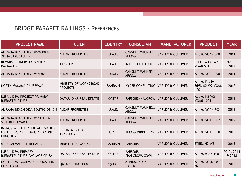| <b>PROJECT NAME</b>                                                                         | <b>CLIENT</b>                             | <b>COUNTRY</b> | <b>CONSULTANT</b>                       | <b>MANUFACTURER</b>          | <b>PRODUCT</b>                          | <b>YEAR</b>          |
|---------------------------------------------------------------------------------------------|-------------------------------------------|----------------|-----------------------------------------|------------------------------|-----------------------------------------|----------------------|
| AL RAHA BEACH DEV. WP1000 AL<br><b>ZEINA STRUCTURES</b>                                     | <b>ALDAR PROPERTIES</b>                   | U.A.E.         | <b>CANSULT MAUNSELL</b><br><b>AECOM</b> | <b>VARLEY &amp; GULLIVER</b> | ALUM. VGAN 300                          | 2011                 |
| RUWAIS REFINERY EXPANSION<br><b>PACKAGE 7</b>                                               | <b>TAKREER</b>                            | U.A.E.         | INT'L BECHTEL CO.                       | <b>VARLEY &amp; GULLIVER</b> | STEEL W1 & W2<br><b>VGAN 501</b>        | 2011 &<br>2017       |
| AL RAHA BEACH DEV. WP1501                                                                   | <b>ALDAR PROPERTIES</b>                   | U.A.E.         | <b>CANSULT MAUNSELL</b><br><b>AECOM</b> | <b>VARLEY &amp; GULLIVER</b> | ALUM. VGAN 300                          | 2011                 |
| NORTH MANAMA CAUSEWAY                                                                       | MINISTRY OF WORKS ROAD<br><b>PROJECTS</b> | <b>BAHRAIN</b> | HYDER CONSULTING VARLEY & GULLIVER      |                              | ALUM. P1, P4<br>&P5, N2-W2 VGAN<br>1001 | 2012                 |
| LUSAIL DEV. PROJECT PRIMARY<br><b>INFRASTRUCTURE</b>                                        | <b>QATARI DIAR REAL ESTATE</b>            | <b>QATAR</b>   | PARSONS/HALCROW VARLEY & GULLIVER       |                              | ALUM. N2-W2<br><b>VGAN 1001</b>         | 2012                 |
| AL RAHA BEACH DEV. SOUTHSIDE IC 6 ALDAR PROPERTIES                                          |                                           | U.A.E.         | <b>CANSULT MAUNSELL</b><br><b>AECOM</b> | <b>VARLEY &amp; GULLIVER</b> | ALUM. VGAN 302                          | 2012                 |
| AL RAHA BEACH DEV. WP 1507 AL<br><b>SEEF BOULEVARD</b>                                      | <b>ALDAR PROPERTIES</b>                   | <b>U.A.E.</b>  | <b>CANSULT MAUNSELL</b><br><b>AECOM</b> | <b>VARLEY &amp; GULLIVER</b> | ALUM. VGAN 302                          | 2012                 |
| <b>IMPROVEMENT TRAFFIC ALLEVATION</b><br>ON THE IP'S AND ROADS AND ADNEC<br><b>FUNCTION</b> | DEPARTMENT OF<br><b>TRANSPORT</b>         | U.A.E          | AECOM MIDDLE EAST VARLEY & GULLIVER     |                              | ALUM. VGAN 300                          | 2013                 |
| MINA SALMAN INTERCHANGE                                                                     | <b>MINISTRY OF WORKS</b>                  | <b>BAHRAIN</b> | <b>PARSONS</b>                          | <b>VARLEY &amp; GULLIVER</b> | STEEL H2-W3                             | 2013                 |
| <b>LUSAIL DEV. PRIMARY</b><br><b>INFRASTRUCTURE PACKAGE CP-3A</b>                           | <b>QATARI DIAR REAL ESTATE</b>            | <b>QATAR</b>   | <b>PARSONS</b><br>/HALCROW/COWI         | <b>VARLEY &amp; GULLIVER</b> | ALUM.VGAN 1001                          | 2013, 2014<br>& 2018 |
| NORTH EAST CARPARK, EDUCATION<br>CITY, QATAR                                                | <b>QATAR PETROLEUM</b>                    | <b>QATAR</b>   | ATKINS/KEO/<br><b>HYDER</b>             | <b>VARLEY &amp; GULLIVER</b> | ALUM. VGSN 1000<br>N <sub>2</sub>       | 2013                 |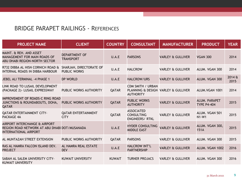| <b>PROJECT NAME</b>                                                                                            | <b>CLIENT</b>                                  | <b>COUNTRY</b> | <b>CONSULTANT</b>                                                                   | <b>MANUFACTURER</b>          | <b>PRODUCT</b>                      | <b>YEAR</b>    |
|----------------------------------------------------------------------------------------------------------------|------------------------------------------------|----------------|-------------------------------------------------------------------------------------|------------------------------|-------------------------------------|----------------|
| MAINT. & REH. AND ASSET<br>MANAGEMENT FOR MAIN ROADS OF<br>ABU DHABI REGION-NORTH SECTOR                       | <b>DEPARTMENT OF</b><br><b>TRANSPORT</b>       | U.A.E          | <b>PARSONS</b>                                                                      | <b>VARLEY &amp; GULLIVER</b> | <b>VGAN 300</b>                     | 2014           |
| R732 DIBBA AL HISN CORNICH ROAD &<br>INTERNAL ROADS IN DIBBA HARBOUR                                           | SHARJAH, DIRECTORATE OF<br><b>PUBLIC WORKS</b> | U.A.E          | <b>HALCROW</b>                                                                      | <b>VARLEY &amp; GULLIVER</b> | ALUM. VGAN 300                      | 2014           |
| JEBEL ALI TERMINAL -4 PHASE 1                                                                                  | <b>DP WORLD</b>                                | U.A.E          | HALCROW/URS                                                                         | <b>VARLEY &amp; GULLIVER</b> | ALUM. VGAN 300                      | 2014 &<br>2015 |
| LINK ROAD TO LUSAIL DEVELOPMENT<br>(PACKAGE 2) - LUSAIL EXPRESSWAY                                             | PUBLIC WORKS AUTHORITY                         | QATAR          | <b>CDM SMITH / URBAN</b><br>PLANNING & DESIGN VARLEY & GULLIVER<br><b>AUTHORITY</b> |                              | ALUM. VGAN 1001                     | 2014           |
| IMPROVEMENT OF ROADS-C RING ROAD<br>JUNCTIONS & ROUNDABOUTS, DOHA,<br>QATAR                                    | PUBLIC WORKS AUTHORITY                         | <b>QATAR</b>   | <b>PUBLIC WORKS</b><br><b>AUTHORITY</b>                                             | <b>VARLEY &amp; GULLIVER</b> | ALUM. PARAPET<br><b>TYPE P4-404</b> | 2015           |
| <b>QATAR ENTERTAINMENT CITY-</b><br>PACKAGE 4A                                                                 | <b>QATAR ENTERTAINMENT</b><br><b>CITY</b>      | QATAR          | <b>ASSOCIATED</b><br><b>CONSULTING</b><br><b>ENGINEERS/ RTKL</b>                    | <b>VARLEY &amp; GULLIVER</b> | ALUM. VGAN 501<br>$N1-W1$           | 2015           |
| AIRPORT INTERCHANGE & AIRPORT<br>REGION ROAD NETWORK AT ABU DHABI DOT/MUSANADA<br><b>INTERNATIONAL AIRPORT</b> |                                                | U.A.E          | <b>HYDER CONSULTING</b><br><b>MIDDLE EAST</b>                                       | <b>VARLEY &amp; GULLIVER</b> | ALUM. VGAN 300,<br>151A             | 2015           |
| AL MUNTAZAH STREET EXTENSION                                                                                   | PUBLIC WORKS AUTHORITY                         | QATAR          | <b>PARSONS</b>                                                                      | <b>VARLEY &amp; GULLIVER</b> | ALUM. VGAN 300                      | 2015           |
| RAS AL HAMRA FALCON ISLAND DEV.<br><b>PROJECT</b>                                                              | AL HAMRA REAL ESTATE<br><b>DEV</b>             | U.A.E          | <b>HALCROW INT'L</b><br><b>PARTNERSHIP</b>                                          | <b>VARLEY &amp; GULLIVER</b> | ALUM. VGAN 1002                     | 2016           |
| SABAH AL SALEM UNIVERSITY CITY-<br><b>KUWAIT UNIVERSITY</b>                                                    | <b>KUWAIT UNIVERSITY</b>                       | <b>KUWAIT</b>  | <b>TURNER PROJACS</b>                                                               | <b>VARLEY &amp; GULLIVER</b> | ALUM. VGAN 300                      | 2016           |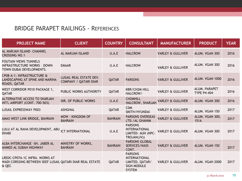| <b>PROJECT NAME</b>                                                                                  | <b>CLIENT</b>                                           | <b>COUNTRY</b> | <b>CONSULTANT</b>                                                                                | <b>MANUFACTURER</b>          | <b>PRODUCT</b>                      | <b>YEAR</b> |
|------------------------------------------------------------------------------------------------------|---------------------------------------------------------|----------------|--------------------------------------------------------------------------------------------------|------------------------------|-------------------------------------|-------------|
| AL MARJAN ISLAND- CHANNEL<br><b>CROSSING NO.1</b>                                                    | <b>AL MARJAN ISLAND</b>                                 | U.A.E          | <b>HALCROW</b>                                                                                   | <b>VARLEY &amp; GULLIVER</b> | ALUM. VGAN 300                      | 2016        |
| <b>FOUTAIN VIEWS TUNNELS</b><br><b>INFRASTRUCTURE WORKS - DOWN</b><br>TOWN DUBAI DEVELOPMENTS.       | <b>EMAAR</b>                                            | U.A.E          | <b>HALCROW</b>                                                                                   | <b>VARLEY &amp; GULLIVER</b> | ALUM. VGAN 300                      | 2016        |
| CP08-A-1: INFRASTRUCTURE &<br>LANDSCAPING AT SPINE AND MARINA<br>ROADS, QATAR                        | LUSAIL REAL ESTATE DEV.<br><b>COMPANY / QATARI DIAR</b> | QATAR          | <b>PARSONS</b>                                                                                   | <b>VARLEY &amp; GULLIVER</b> | ALUM. VGAN 1000                     | 2016        |
| WEST CORRIDOR P010 PACKAGE 1,<br>QATAR                                                               | PUBLIC WORKS AUTHORITY                                  | QATAR          | <b>KBR/CH2M HILL</b><br>HALCROW/                                                                 | <b>VARLEY &amp; GULLIVER</b> | ALUM. PARAPET<br><b>TYPE P4-404</b> | 2016        |
| ALTERNATIVE ACCESS TO SHARJAH<br>INT'L AIRPORT (CONT. 700-503)                                       | <b>DIR. OF PUBLIC WORKS</b>                             | U.A.E          | <b>CH2MHILL</b><br>HALCROW, SHARJAH                                                              | <b>VARLEY &amp; GULLIVER</b> | ALUM. VGAN 300                      | 2016        |
| <b>LUSAIL EXPRESSWAY P003</b>                                                                        | <b>ASHGHAL</b>                                          | QATAR          | <b>CDM</b><br>SMITH/HYUNDAI                                                                      | <b>VARLEY &amp; GULLIVER</b> | ALUM. VGAN 150                      | 2017        |
| AMAS WEST LINK BRIDGE, BAHRAIN                                                                       | <b>MOW - KINGDOM OF</b><br><b>BAHRAIN</b>               | <b>BAHRAIN</b> | <b>PARSONS OVERSEAS</b><br>LTD./AL GHANIM                                                        | <b>VARLEY &amp; GULLIVER</b> | ALUM. VGAN 300,<br>151A             | 2017        |
| LULU AT AL RAHA DEVELOPMENT, ABU<br><b>DHABI</b>                                                     | ICT INTERNATIONAL                                       | U.A.E          | <b>PARSONS</b><br><b>INTERNATIONAL</b><br>LIMITED- AUH (NPC-<br>TROJAN(JV))                      | <b>VARLEY &amp; GULLIVER</b> | ALUM. VGAN 300                      | 2017        |
| ALBA INTERCHANGE - SH. JABER AL<br>AHMED AL SUBAH HIGHWAY                                            | MINISTRY OF WORKS,<br><b>BAHRAIN</b>                    | <b>BAHRAIN</b> | <b>PARSONS GLOBAL</b><br>SERVICES/NASS<br>CONT.                                                  | <b>VARLEY &amp; GULLIVER</b> | ALUM. VGAN 150                      | 2017        |
| LREDC-CP07A-1C INFRA. WORKS AT<br>WADI CORSSING BETWEEN SEEF LUSAIL QATARI DIAR REAL ESTATE<br>& QEC |                                                         | QATAR          | <b>PARSONS</b><br><b>INTERNATIONAL</b><br>LIMITED, QATAR/<br><b>SIGN MODULE</b><br><b>SYSTEM</b> | <b>VARLEY &amp; GULLIVER</b> | ALUM. VGAH 2000                     | 2017        |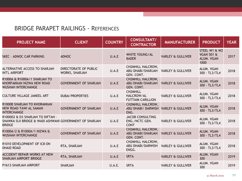| <b>PROJECT NAME</b>                                                                                          | <b>CLIENT</b>                           | <b>COUNTRY</b> | <b>CONSULTANT/</b><br><b>CONTRACTOR</b>                                  | <b>MANUFACTURER</b>          | <b>PRODUCT</b>                                               | <b>YEAR</b> |
|--------------------------------------------------------------------------------------------------------------|-----------------------------------------|----------------|--------------------------------------------------------------------------|------------------------------|--------------------------------------------------------------|-------------|
| <b>SKEC - ADNOC CAR PARKING</b>                                                                              | <b>ADNOC</b>                            | U.A.E          | <b>WHITE YOUNG/AL</b><br><b>BADER</b>                                    | <b>VARLEY &amp; GULLIVER</b> | STEEL W1 & W2<br><b>VGAN 501 &amp;</b><br>ALUM. VGAN<br>1000 | 2017        |
| ALTERNATIVE ACCESS TO SHARJAH<br><b>INT'L AIRPORT</b>                                                        | DIRECTORATE OF PUBLIC<br>WORKS, SHARJAH | U.A.E          | <b>CH2MHILL HALCROW,</b><br>ABU DHABI/SHARJAH<br>GEN. CONT.              | <b>VARLEY &amp; GULLIVER</b> | ALUM. VGAN<br>300 - TL3/TL4                                  | 2018        |
| R1000A & R1000A/1 SHARJAH TO<br>KHORFAKKAN NIZWA NEW ROAD<br><b>WUSHAH INTERCHANGE</b>                       | <b>GOVERNMENT OF SHARJAH</b>            | U.A.E          | <b>CH2MHILL HALCROW,</b><br>ABU DHABI/SHARJAH<br>GEN. CONT.              | <b>VARLEY &amp; GULLIVER</b> | ALUM. VGAN<br>300 - TL3/TL4                                  | 2018        |
| <b>CULTURE VILLAGE JAMEEL ART</b>                                                                            | <b>DUBAI PROPERTIES</b>                 | U.A.E          | <b>CH2MHILL</b><br>HALCROW/AL<br><b>FUTTAIM CARILLION</b>                | <b>VARLEY &amp; GULLIVER</b> | ALUM. VGAN<br>300 - TL3/TL4                                  | 2018        |
| R1000B SHARJAH TO KHORAKKAN<br><b>NEW ROAD-TAWI AL SAMAN</b><br><b>INTERCHANGE</b>                           | <b>GOVERNMENT OF SHARJAH</b>            | U.A.E          | <b>CH2MHILL HALCROW,</b><br>ABU DHABI/ DARWISH VARLEY & GULLIVER<br>ENG. |                              | <b>ALUM. VGAN</b><br>300 - TL3/TL4                           | 2018        |
| R1000D2 & D3 SHARJAH TO DIFTAH -<br>SHAWKA SIJI BRIDGE & WADI ASHWANI GOVERNMENT OF SHARJAH<br><b>BRIDGE</b> |                                         | U.A.E          | <b>JACOB CONSULTING</b><br>ENG./NCTC GEN.<br><b>CONT</b>                 | <b>VARLEY &amp; GULLIVER</b> | ALUM. VGAN<br>300 - TL3/TL4                                  | 2018        |
| R1000A/2 & R1000A/1 NIZWA &<br><b>WUSHAH INTERCHANGE</b>                                                     | <b>GOVERNMENT OF SHARJAH</b>            | U.A.E          | <b>CH2MHILL HALCROW,</b><br><b>ABU DHABI/SHARJAH</b><br>GEN. CONT.       | <b>VARLEY &amp; GULLIVER</b> | <b>ALUM. VGAN</b><br>300 - TL3/TL4                           | 2018        |
| R1010 DEVELOPMENT OF IC8 ON<br><b>DHAID ROAD</b>                                                             | RTA, SHARJAH                            | U.A.E          | <b>CH2MHILL HALCROW,</b><br><b>ABU DHABI/DARWISH</b><br>ENGG.            | <b>VARLEY &amp; GULLIVER</b> | ALUM. VGAN<br>300 - TL3/TL4                                  | 2018        |
| <b>ACCIDENT REPAIR WORKS AT NEW</b><br>SHARJAH AIRPORT BRIDGE                                                | RTA, SHARJAH                            | U.A.E          | <b>SRTA</b>                                                              | <b>VARLEY &amp; GULLIVER</b> | ALUM. VGAN<br>300                                            | 2019        |
| P1613-SHARJAH AIRPORT                                                                                        | <b>SHARJAH</b>                          | U.A.E.         | <b>SRTA</b>                                                              | <b>VARLEY &amp; GULLIVER</b> | ALUM. VGAN<br>300                                            | 2019        |